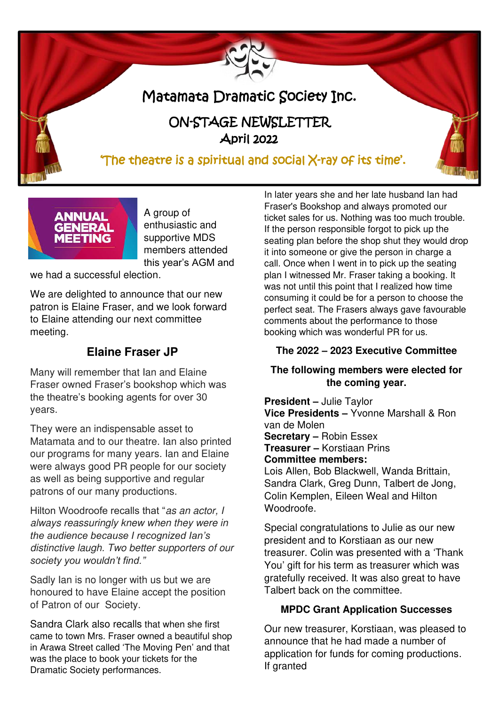# Matamata Dramatic Society Inc.

# ON-STAGE NEWSLETTER April 2022

# 'The theatre is a spiritual and social  $X$ -ray of its time'.



A group of enthusiastic and supportive MDS members attended this year's AGM and

we had a successful election.

We are delighted to announce that our new patron is Elaine Fraser, and we look forward to Elaine attending our next committee meeting.

## **Elaine Fraser JP**

Many will remember that Ian and Elaine Fraser owned Fraser's bookshop which was the theatre's booking agents for over 30 years.

They were an indispensable asset to Matamata and to our theatre. Ian also printed our programs for many years. Ian and Elaine were always good PR people for our society as well as being supportive and regular patrons of our many productions.

Hilton Woodroofe recalls that "as an actor, I always reassuringly knew when they were in *the audience because I recognized Ian's*  distinctive laugh. Two better supporters of our *society you wouldn't find."*

Sadly Ian is no longer with us but we are honoured to have Elaine accept the position of Patron of our Society.

Sandra Clark also recalls that when she first came to town Mrs. Fraser owned a beautiful shop in Arawa Street called 'The Moving Pen' and that was the place to book your tickets for the Dramatic Society performances.

In later years she and her late husband Ian had Fraser's Bookshop and always promoted our ticket sales for us. Nothing was too much trouble. If the person responsible forgot to pick up the seating plan before the shop shut they would drop it into someone or give the person in charge a call. Once when I went in to pick up the seating plan I witnessed Mr. Fraser taking a booking. It was not until this point that I realized how time consuming it could be for a person to choose the perfect seat. The Frasers always gave favourable comments about the performance to those booking which was wonderful PR for us.

#### **The 2022 – 2023 Executive Committee**

#### **The following members were elected for the coming year.**

**President –** Julie Taylor **Vice Presidents –** Yvonne Marshall & Ron van de Molen **Secretary –** Robin Essex **Treasurer –** Korstiaan Prins **Committee members:**  Lois Allen, Bob Blackwell, Wanda Brittain, Sandra Clark, Greg Dunn, Talbert de Jong, Colin Kemplen, Eileen Weal and Hilton Woodroofe.

Special congratulations to Julie as our new president and to Korstiaan as our new treasurer. Colin was presented with a 'Thank You' gift for his term as treasurer which was gratefully received. It was also great to have Talbert back on the committee.

### **MPDC Grant Application Successes**

Our new treasurer, Korstiaan, was pleased to announce that he had made a number of application for funds for coming productions. If granted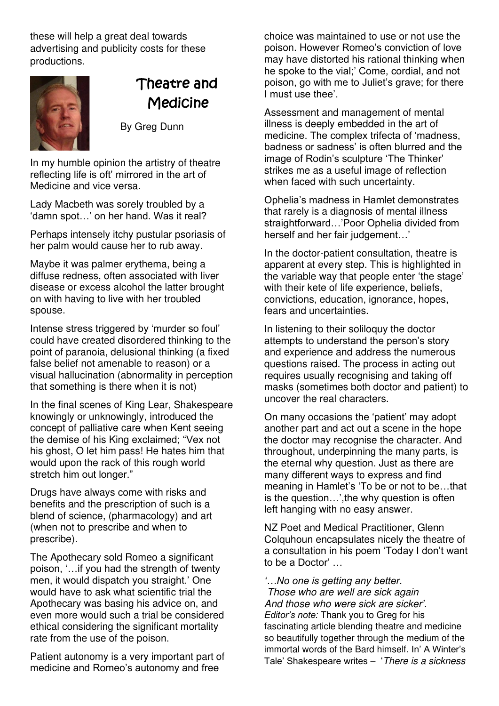these will help a great deal towards advertising and publicity costs for these productions.



# Theatre and **Medicine**

By Greg Dunn

In my humble opinion the artistry of theatre reflecting life is oft' mirrored in the art of Medicine and vice versa.

Lady Macbeth was sorely troubled by a 'damn spot…' on her hand. Was it real?

Perhaps intensely itchy pustular psoriasis of her palm would cause her to rub away.

Maybe it was palmer erythema, being a diffuse redness, often associated with liver disease or excess alcohol the latter brought on with having to live with her troubled spouse.

Intense stress triggered by 'murder so foul' could have created disordered thinking to the point of paranoia, delusional thinking (a fixed false belief not amenable to reason) or a visual hallucination (abnormality in perception that something is there when it is not)

In the final scenes of King Lear, Shakespeare knowingly or unknowingly, introduced the concept of palliative care when Kent seeing the demise of his King exclaimed; "Vex not his ghost, O let him pass! He hates him that would upon the rack of this rough world stretch him out longer."

Drugs have always come with risks and benefits and the prescription of such is a blend of science, (pharmacology) and art (when not to prescribe and when to prescribe).

The Apothecary sold Romeo a significant poison, '…if you had the strength of twenty men, it would dispatch you straight.' One would have to ask what scientific trial the Apothecary was basing his advice on, and even more would such a trial be considered ethical considering the significant mortality rate from the use of the poison.

Patient autonomy is a very important part of medicine and Romeo's autonomy and free

choice was maintained to use or not use the poison. However Romeo's conviction of love may have distorted his rational thinking when he spoke to the vial;' Come, cordial, and not poison, go with me to Juliet's grave; for there I must use thee'.

Assessment and management of mental illness is deeply embedded in the art of medicine. The complex trifecta of 'madness, badness or sadness' is often blurred and the image of Rodin's sculpture 'The Thinker' strikes me as a useful image of reflection when faced with such uncertainty.

Ophelia's madness in Hamlet demonstrates that rarely is a diagnosis of mental illness straightforward…'Poor Ophelia divided from herself and her fair judgement…'

In the doctor-patient consultation, theatre is apparent at every step. This is highlighted in the variable way that people enter 'the stage' with their kete of life experience, beliefs, convictions, education, ignorance, hopes, fears and uncertainties.

In listening to their soliloquy the doctor attempts to understand the person's story and experience and address the numerous questions raised. The process in acting out requires usually recognising and taking off masks (sometimes both doctor and patient) to uncover the real characters.

On many occasions the 'patient' may adopt another part and act out a scene in the hope the doctor may recognise the character. And throughout, underpinning the many parts, is the eternal why question. Just as there are many different ways to express and find meaning in Hamlet's 'To be or not to be…that is the question…',the why question is often left hanging with no easy answer.

NZ Poet and Medical Practitioner, Glenn Colquhoun encapsulates nicely the theatre of a consultation in his poem 'Today I don't want to be a Doctor' …

*'…No one is getting any better.* Those who are well are sick again And those who were sick are sicker*'*. *Editor's note:* Thank you to Greg for his fascinating article blending theatre and medicine so beautifully together through the medium of the immortal words of the Bard himself. In' A Winter's Tale' Shakespeare writes – 'There is a sickness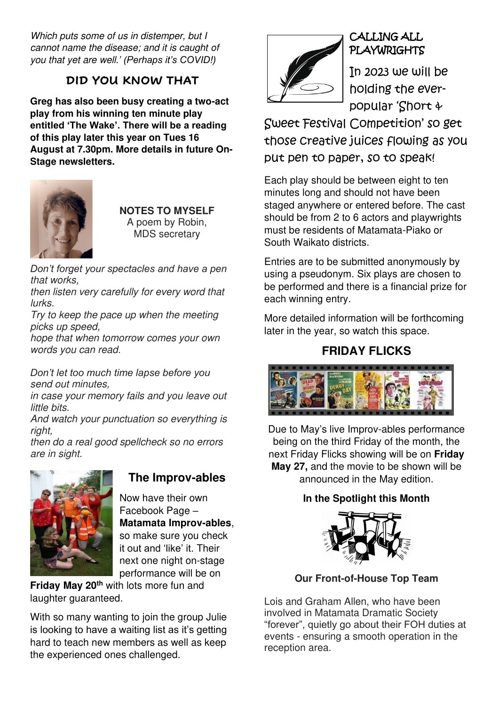Which puts some of us in distemper, but I cannot name the disease; and it is caught of you that yet are well.*' (Perhaps it's COVID!)*

## **DID YOU KNOW THAT**

**Greg has also been busy creating a two-act play from his winning ten minute play entitled 'The Wake'. There will be a reading of this play later this year on Tues 16 August at 7.30pm. More details in future On-Stage newsletters.**



**NOTES TO MYSELF**  A poem by Robin, MDS secretary

*Don't forget your spectacles and have a pen*  that works,

then listen very carefully for every word that lurks.

Try to keep the pace up when the meeting picks up speed,

hope that when tomorrow comes your own words you can read.

*Don't let too much time lapse before you*  send out minutes,

in case your memory fails and you leave out little bits.

And watch your punctuation so everything is right,

then do a real good spellcheck so no errors are in sight.



## **The Improv-ables**

Now have their own Facebook Page – **Matamata Improv-ables**, so make sure you check it out and 'like' it. Their next one night on-stage performance will be on

**Friday May 20th** with lots more fun and laughter guaranteed.

With so many wanting to join the group Julie is looking to have a waiting list as it's getting hard to teach new members as well as keep the experienced ones challenged.



## CALLING ALL PLAYWRIGHTS

In 2023 we will be holding the everpopular 'Short &

Sweet Festival Competition' so get those creative juices flowing as you put pen to paper, so to speak!

Each play should be between eight to ten minutes long and should not have been staged anywhere or entered before. The cast should be from 2 to 6 actors and playwrights must be residents of Matamata-Piako or South Waikato districts.

Entries are to be submitted anonymously by using a pseudonym. Six plays are chosen to be performed and there is a financial prize for each winning entry.

More detailed information will be forthcoming later in the year, so watch this space.

## **FRIDAY FLICKS**



Due to May's live Improv-ables performance being on the third Friday of the month, the next Friday Flicks showing will be on **Friday May 27,** and the movie to be shown will be announced in the May edition.

## **In the Spotlight this Month**



**Our Front-of-House Top Team** 

Lois and Graham Allen, who have been involved in Matamata Dramatic Society "forever", quietly go about their FOH duties at events - ensuring a smooth operation in the reception area.